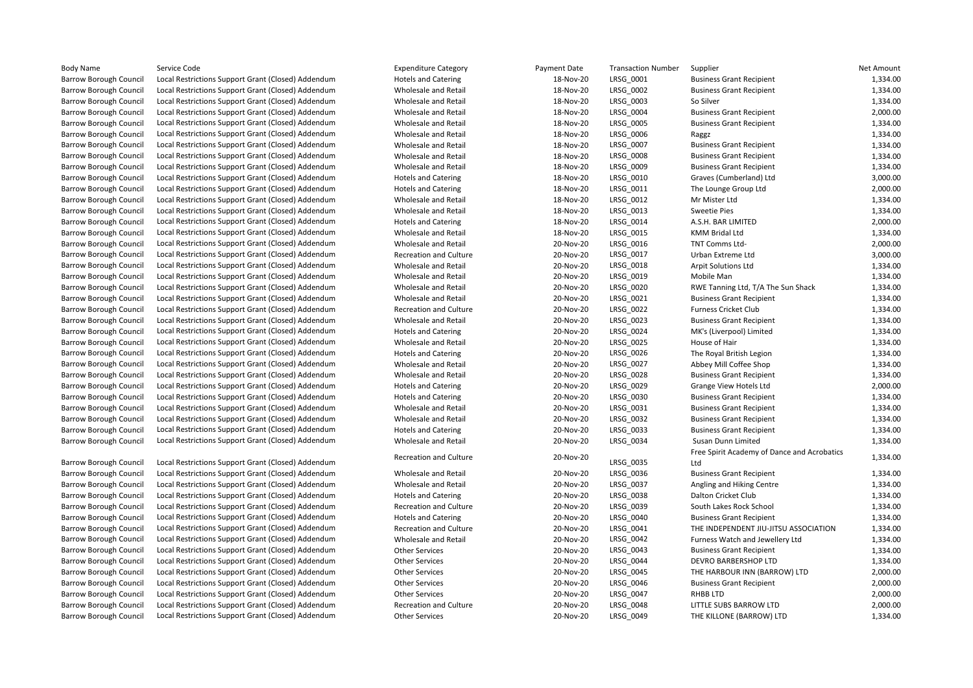| Body Name                     | Service Code                                       | <b>Expenditure Category</b>   | Payment Date | <b>Transaction Number</b> | Supplier                                    | <b>Net Amount</b> |
|-------------------------------|----------------------------------------------------|-------------------------------|--------------|---------------------------|---------------------------------------------|-------------------|
| Barrow Borough Council        | Local Restrictions Support Grant (Closed) Addendum | <b>Hotels and Catering</b>    | 18-Nov-20    | LRSG_0001                 | <b>Business Grant Recipient</b>             | 1,334.00          |
| <b>Barrow Borough Council</b> | Local Restrictions Support Grant (Closed) Addendum | Wholesale and Retail          | 18-Nov-20    | LRSG 0002                 | <b>Business Grant Recipient</b>             | 1,334.00          |
| <b>Barrow Borough Council</b> | Local Restrictions Support Grant (Closed) Addendum | Wholesale and Retail          | 18-Nov-20    | LRSG 0003                 | So Silver                                   | 1,334.00          |
| Barrow Borough Council        | Local Restrictions Support Grant (Closed) Addendum | Wholesale and Retail          | 18-Nov-20    | LRSG_0004                 | <b>Business Grant Recipient</b>             | 2,000.00          |
| <b>Barrow Borough Council</b> | Local Restrictions Support Grant (Closed) Addendum | Wholesale and Retail          | 18-Nov-20    | LRSG_0005                 | <b>Business Grant Recipient</b>             | 1,334.00          |
| Barrow Borough Council        | Local Restrictions Support Grant (Closed) Addendum | Wholesale and Retail          | 18-Nov-20    | LRSG 0006                 | Raggz                                       | 1,334.00          |
| <b>Barrow Borough Council</b> | Local Restrictions Support Grant (Closed) Addendum | Wholesale and Retail          | 18-Nov-20    | LRSG_0007                 | <b>Business Grant Recipient</b>             | 1,334.00          |
| <b>Barrow Borough Council</b> | Local Restrictions Support Grant (Closed) Addendum | Wholesale and Retail          | 18-Nov-20    | LRSG 0008                 | <b>Business Grant Recipient</b>             | 1,334.00          |
| <b>Barrow Borough Council</b> | Local Restrictions Support Grant (Closed) Addendum | Wholesale and Retail          | 18-Nov-20    | LRSG_0009                 | <b>Business Grant Recipient</b>             | 1,334.00          |
| <b>Barrow Borough Council</b> | Local Restrictions Support Grant (Closed) Addendum | <b>Hotels and Catering</b>    | 18-Nov-20    | LRSG 0010                 | Graves (Cumberland) Ltd                     | 3,000.00          |
| <b>Barrow Borough Council</b> | Local Restrictions Support Grant (Closed) Addendum | <b>Hotels and Catering</b>    | 18-Nov-20    | LRSG_0011                 | The Lounge Group Ltd                        | 2,000.00          |
| <b>Barrow Borough Council</b> | Local Restrictions Support Grant (Closed) Addendum | Wholesale and Retail          | 18-Nov-20    | LRSG 0012                 | Mr Mister Ltd                               | 1,334.00          |
| <b>Barrow Borough Council</b> | Local Restrictions Support Grant (Closed) Addendum | Wholesale and Retail          | 18-Nov-20    | LRSG 0013                 | <b>Sweetie Pies</b>                         | 1,334.00          |
| <b>Barrow Borough Council</b> | Local Restrictions Support Grant (Closed) Addendum | <b>Hotels and Catering</b>    | 18-Nov-20    | LRSG_0014                 | A.S.H. BAR LIMITED                          | 2,000.00          |
| <b>Barrow Borough Council</b> | Local Restrictions Support Grant (Closed) Addendum | Wholesale and Retail          | 18-Nov-20    | LRSG_0015                 | <b>KMM Bridal Ltd</b>                       | 1,334.00          |
| <b>Barrow Borough Council</b> | Local Restrictions Support Grant (Closed) Addendum | Wholesale and Retail          | 20-Nov-20    | LRSG_0016                 | TNT Comms Ltd-                              | 2,000.00          |
| <b>Barrow Borough Council</b> | Local Restrictions Support Grant (Closed) Addendum | <b>Recreation and Culture</b> | 20-Nov-20    | LRSG_0017                 | Urban Extreme Ltd                           | 3,000.00          |
| <b>Barrow Borough Council</b> | Local Restrictions Support Grant (Closed) Addendum | Wholesale and Retail          | 20-Nov-20    | LRSG 0018                 | <b>Arpit Solutions Ltd</b>                  | 1,334.00          |
| <b>Barrow Borough Council</b> | Local Restrictions Support Grant (Closed) Addendum | Wholesale and Retail          | 20-Nov-20    | LRSG 0019                 | Mobile Man                                  | 1,334.00          |
| <b>Barrow Borough Council</b> | Local Restrictions Support Grant (Closed) Addendum | Wholesale and Retail          | 20-Nov-20    | LRSG 0020                 | RWE Tanning Ltd, T/A The Sun Shack          | 1,334.00          |
| <b>Barrow Borough Council</b> | Local Restrictions Support Grant (Closed) Addendum | Wholesale and Retail          | 20-Nov-20    | LRSG 0021                 | <b>Business Grant Recipient</b>             | 1,334.00          |
| <b>Barrow Borough Council</b> | Local Restrictions Support Grant (Closed) Addendum | <b>Recreation and Culture</b> | 20-Nov-20    | LRSG 0022                 | <b>Furness Cricket Club</b>                 | 1,334.00          |
| <b>Barrow Borough Council</b> | Local Restrictions Support Grant (Closed) Addendum | Wholesale and Retail          | 20-Nov-20    | LRSG 0023                 | <b>Business Grant Recipient</b>             | 1,334.00          |
| <b>Barrow Borough Council</b> | Local Restrictions Support Grant (Closed) Addendum | <b>Hotels and Catering</b>    | 20-Nov-20    | LRSG_0024                 | MK's (Liverpool) Limited                    | 1,334.00          |
| <b>Barrow Borough Council</b> | Local Restrictions Support Grant (Closed) Addendum | Wholesale and Retail          | 20-Nov-20    | LRSG_0025                 | House of Hair                               | 1,334.00          |
| <b>Barrow Borough Council</b> | Local Restrictions Support Grant (Closed) Addendum | <b>Hotels and Catering</b>    | 20-Nov-20    | LRSG 0026                 | The Royal British Legion                    | 1,334.00          |
| <b>Barrow Borough Council</b> | Local Restrictions Support Grant (Closed) Addendum | Wholesale and Retail          | 20-Nov-20    | LRSG 0027                 | Abbey Mill Coffee Shop                      | 1,334.00          |
| <b>Barrow Borough Council</b> | Local Restrictions Support Grant (Closed) Addendum | Wholesale and Retail          | 20-Nov-20    | LRSG_0028                 | <b>Business Grant Recipient</b>             | 1,334.00          |
| <b>Barrow Borough Council</b> | Local Restrictions Support Grant (Closed) Addendum | <b>Hotels and Catering</b>    | 20-Nov-20    | LRSG 0029                 | Grange View Hotels Ltd                      | 2,000.00          |
| Barrow Borough Council        | Local Restrictions Support Grant (Closed) Addendum | <b>Hotels and Catering</b>    | 20-Nov-20    | LRSG_0030                 | <b>Business Grant Recipient</b>             | 1,334.00          |
| Barrow Borough Council        | Local Restrictions Support Grant (Closed) Addendum | Wholesale and Retail          | 20-Nov-20    | LRSG_0031                 | <b>Business Grant Recipient</b>             | 1,334.00          |
| <b>Barrow Borough Council</b> | Local Restrictions Support Grant (Closed) Addendum | Wholesale and Retail          | 20-Nov-20    | LRSG_0032                 | <b>Business Grant Recipient</b>             | 1,334.00          |
| <b>Barrow Borough Council</b> | Local Restrictions Support Grant (Closed) Addendum | <b>Hotels and Catering</b>    | 20-Nov-20    | LRSG_0033                 | <b>Business Grant Recipient</b>             | 1,334.00          |
| <b>Barrow Borough Council</b> | Local Restrictions Support Grant (Closed) Addendum | Wholesale and Retail          | 20-Nov-20    | LRSG 0034                 | Susan Dunn Limited                          | 1,334.00          |
|                               |                                                    |                               |              |                           | Free Spirit Academy of Dance and Acrobatics |                   |
| <b>Barrow Borough Council</b> | Local Restrictions Support Grant (Closed) Addendum | <b>Recreation and Culture</b> | 20-Nov-20    | LRSG 0035                 | Ltd                                         | 1,334.00          |
| <b>Barrow Borough Council</b> | Local Restrictions Support Grant (Closed) Addendum | Wholesale and Retail          | 20-Nov-20    | LRSG 0036                 | <b>Business Grant Recipient</b>             | 1,334.00          |
| <b>Barrow Borough Council</b> | Local Restrictions Support Grant (Closed) Addendum | Wholesale and Retail          | 20-Nov-20    | LRSG 0037                 | Angling and Hiking Centre                   | 1,334.00          |
| Barrow Borough Council        | Local Restrictions Support Grant (Closed) Addendum | <b>Hotels and Catering</b>    | 20-Nov-20    | LRSG_0038                 | Dalton Cricket Club                         | 1,334.00          |
| <b>Barrow Borough Council</b> | Local Restrictions Support Grant (Closed) Addendum | Recreation and Culture        | 20-Nov-20    | LRSG 0039                 | South Lakes Rock School                     | 1,334.00          |
| <b>Barrow Borough Council</b> | Local Restrictions Support Grant (Closed) Addendum | <b>Hotels and Catering</b>    | 20-Nov-20    | LRSG_0040                 | <b>Business Grant Recipient</b>             | 1,334.00          |
| <b>Barrow Borough Council</b> | Local Restrictions Support Grant (Closed) Addendum | <b>Recreation and Culture</b> | 20-Nov-20    | LRSG 0041                 | THE INDEPENDENT JIU-JITSU ASSOCIATION       | 1,334.00          |
| <b>Barrow Borough Council</b> | Local Restrictions Support Grant (Closed) Addendum | Wholesale and Retail          | 20-Nov-20    | LRSG 0042                 | Furness Watch and Jewellery Ltd             | 1,334.00          |
| <b>Barrow Borough Council</b> | Local Restrictions Support Grant (Closed) Addendum | <b>Other Services</b>         | 20-Nov-20    | LRSG 0043                 | <b>Business Grant Recipient</b>             | 1,334.00          |
| Barrow Borough Council        | Local Restrictions Support Grant (Closed) Addendum | <b>Other Services</b>         | 20-Nov-20    | LRSG_0044                 | DEVRO BARBERSHOP LTD                        | 1,334.00          |
| Barrow Borough Council        | Local Restrictions Support Grant (Closed) Addendum | <b>Other Services</b>         | 20-Nov-20    | LRSG_0045                 | THE HARBOUR INN (BARROW) LTD                | 2,000.00          |
| Barrow Borough Council        | Local Restrictions Support Grant (Closed) Addendum | <b>Other Services</b>         | 20-Nov-20    | LRSG_0046                 | <b>Business Grant Recipient</b>             | 2,000.00          |
| <b>Barrow Borough Council</b> | Local Restrictions Support Grant (Closed) Addendum | <b>Other Services</b>         | 20-Nov-20    | LRSG_0047                 | <b>RHBB LTD</b>                             | 2,000.00          |
| <b>Barrow Borough Council</b> | Local Restrictions Support Grant (Closed) Addendum | <b>Recreation and Culture</b> | 20-Nov-20    | LRSG 0048                 | LITTLE SUBS BARROW LTD                      | 2,000.00          |
| <b>Barrow Borough Council</b> | Local Restrictions Support Grant (Closed) Addendum | <b>Other Services</b>         | 20-Nov-20    | LRSG 0049                 | THE KILLONE (BARROW) LTD                    | 1,334.00          |
|                               |                                                    |                               |              |                           |                                             |                   |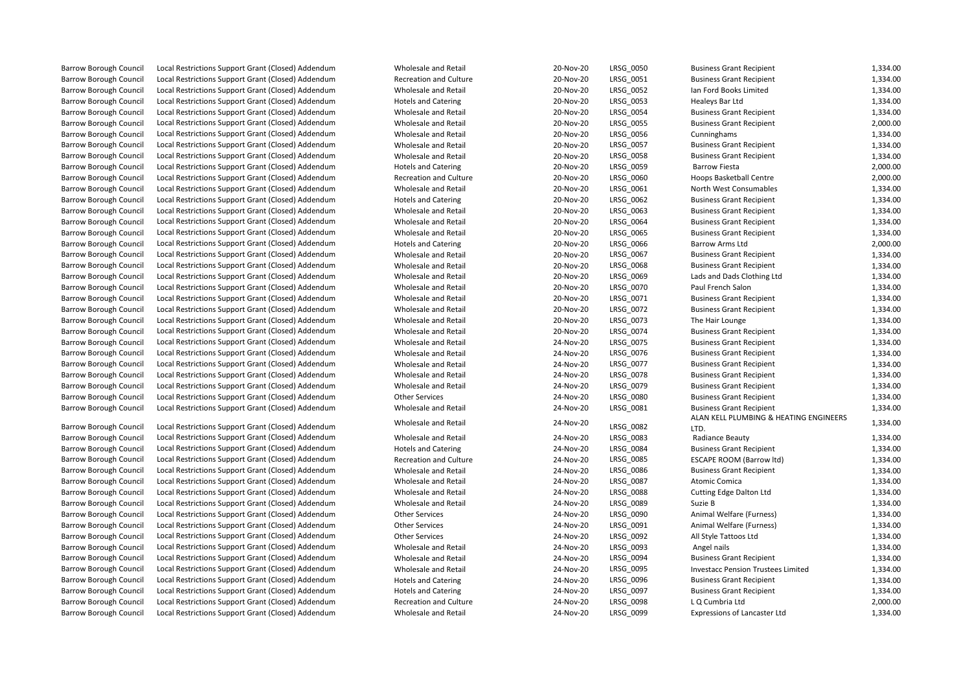| <b>Barrow Borough Council</b> | Local Restrictions Support Grant (Closed) Addendum | Wholesale and Retail                               | 20-Nov-20 | LRSG_0050              | <b>Business Grant Recipient</b>           | 1,334.00 |
|-------------------------------|----------------------------------------------------|----------------------------------------------------|-----------|------------------------|-------------------------------------------|----------|
| <b>Barrow Borough Council</b> | Local Restrictions Support Grant (Closed) Addendum | <b>Recreation and Culture</b>                      | 20-Nov-20 | LRSG_0051              | <b>Business Grant Recipient</b>           | 1,334.00 |
| <b>Barrow Borough Council</b> | Local Restrictions Support Grant (Closed) Addendum | Wholesale and Retail                               | 20-Nov-20 | LRSG 0052              | Ian Ford Books Limited                    | 1,334.00 |
| <b>Barrow Borough Council</b> | Local Restrictions Support Grant (Closed) Addendum | <b>Hotels and Catering</b>                         | 20-Nov-20 | LRSG 0053              | Healeys Bar Ltd                           | 1,334.00 |
| <b>Barrow Borough Council</b> | Local Restrictions Support Grant (Closed) Addendum | Wholesale and Retail                               | 20-Nov-20 | LRSG 0054              | <b>Business Grant Recipient</b>           | 1,334.00 |
| <b>Barrow Borough Council</b> | Local Restrictions Support Grant (Closed) Addendum | Wholesale and Retail                               | 20-Nov-20 | LRSG 0055              | <b>Business Grant Recipient</b>           | 2,000.00 |
| <b>Barrow Borough Council</b> | Local Restrictions Support Grant (Closed) Addendum | Wholesale and Retail                               | 20-Nov-20 | LRSG_0056              | Cunninghams                               | 1,334.00 |
| <b>Barrow Borough Council</b> | Local Restrictions Support Grant (Closed) Addendum | <b>Wholesale and Retail</b>                        | 20-Nov-20 | LRSG 0057              | <b>Business Grant Recipient</b>           | 1,334.00 |
| <b>Barrow Borough Council</b> | Local Restrictions Support Grant (Closed) Addendum | Wholesale and Retail                               | 20-Nov-20 | LRSG_0058              | <b>Business Grant Recipient</b>           | 1,334.00 |
| <b>Barrow Borough Council</b> | Local Restrictions Support Grant (Closed) Addendum | <b>Hotels and Catering</b>                         | 20-Nov-20 | LRSG_0059              | <b>Barrow Fiesta</b>                      | 2,000.00 |
| <b>Barrow Borough Council</b> | Local Restrictions Support Grant (Closed) Addendum | <b>Recreation and Culture</b>                      | 20-Nov-20 | LRSG 0060              | <b>Hoops Basketball Centre</b>            | 2,000.00 |
| <b>Barrow Borough Council</b> | Local Restrictions Support Grant (Closed) Addendum | <b>Wholesale and Retail</b>                        | 20-Nov-20 | LRSG_0061              | North West Consumables                    | 1,334.00 |
|                               | Local Restrictions Support Grant (Closed) Addendum |                                                    | 20-Nov-20 |                        |                                           | 1,334.00 |
| <b>Barrow Borough Council</b> | Local Restrictions Support Grant (Closed) Addendum | <b>Hotels and Catering</b><br>Wholesale and Retail | 20-Nov-20 | LRSG_0062<br>LRSG 0063 | <b>Business Grant Recipient</b>           | 1,334.00 |
| <b>Barrow Borough Council</b> |                                                    |                                                    |           |                        | <b>Business Grant Recipient</b>           |          |
| <b>Barrow Borough Council</b> | Local Restrictions Support Grant (Closed) Addendum | Wholesale and Retail                               | 20-Nov-20 | LRSG_0064              | <b>Business Grant Recipient</b>           | 1,334.00 |
| <b>Barrow Borough Council</b> | Local Restrictions Support Grant (Closed) Addendum | Wholesale and Retail                               | 20-Nov-20 | LRSG_0065              | <b>Business Grant Recipient</b>           | 1,334.00 |
| <b>Barrow Borough Council</b> | Local Restrictions Support Grant (Closed) Addendum | <b>Hotels and Catering</b>                         | 20-Nov-20 | LRSG 0066              | <b>Barrow Arms Ltd</b>                    | 2,000.00 |
| <b>Barrow Borough Council</b> | Local Restrictions Support Grant (Closed) Addendum | Wholesale and Retail                               | 20-Nov-20 | LRSG_0067              | <b>Business Grant Recipient</b>           | 1,334.00 |
| <b>Barrow Borough Council</b> | Local Restrictions Support Grant (Closed) Addendum | Wholesale and Retail                               | 20-Nov-20 | LRSG_0068              | <b>Business Grant Recipient</b>           | 1,334.00 |
| <b>Barrow Borough Council</b> | Local Restrictions Support Grant (Closed) Addendum | Wholesale and Retail                               | 20-Nov-20 | LRSG 0069              | Lads and Dads Clothing Ltd                | 1,334.00 |
| <b>Barrow Borough Council</b> | Local Restrictions Support Grant (Closed) Addendum | Wholesale and Retail                               | 20-Nov-20 | LRSG_0070              | Paul French Salon                         | 1,334.00 |
| <b>Barrow Borough Council</b> | Local Restrictions Support Grant (Closed) Addendum | Wholesale and Retail                               | 20-Nov-20 | LRSG_0071              | <b>Business Grant Recipient</b>           | 1,334.00 |
| <b>Barrow Borough Council</b> | Local Restrictions Support Grant (Closed) Addendum | Wholesale and Retail                               | 20-Nov-20 | LRSG_0072              | <b>Business Grant Recipient</b>           | 1,334.00 |
| <b>Barrow Borough Council</b> | Local Restrictions Support Grant (Closed) Addendum | Wholesale and Retail                               | 20-Nov-20 | LRSG_0073              | The Hair Lounge                           | 1,334.00 |
| <b>Barrow Borough Council</b> | Local Restrictions Support Grant (Closed) Addendum | Wholesale and Retail                               | 20-Nov-20 | LRSG_0074              | <b>Business Grant Recipient</b>           | 1,334.00 |
| <b>Barrow Borough Council</b> | Local Restrictions Support Grant (Closed) Addendum | Wholesale and Retail                               | 24-Nov-20 | LRSG 0075              | <b>Business Grant Recipient</b>           | 1,334.00 |
| <b>Barrow Borough Council</b> | Local Restrictions Support Grant (Closed) Addendum | Wholesale and Retail                               | 24-Nov-20 | LRSG 0076              | <b>Business Grant Recipient</b>           | 1,334.00 |
| <b>Barrow Borough Council</b> | Local Restrictions Support Grant (Closed) Addendum | Wholesale and Retail                               | 24-Nov-20 | LRSG_0077              | <b>Business Grant Recipient</b>           | 1,334.00 |
| <b>Barrow Borough Council</b> | Local Restrictions Support Grant (Closed) Addendum | Wholesale and Retail                               | 24-Nov-20 | LRSG 0078              | <b>Business Grant Recipient</b>           | 1,334.00 |
| <b>Barrow Borough Council</b> | Local Restrictions Support Grant (Closed) Addendum | Wholesale and Retail                               | 24-Nov-20 | LRSG_0079              | <b>Business Grant Recipient</b>           | 1,334.00 |
| <b>Barrow Borough Council</b> | Local Restrictions Support Grant (Closed) Addendum | <b>Other Services</b>                              | 24-Nov-20 | LRSG_0080              | <b>Business Grant Recipient</b>           | 1,334.00 |
| <b>Barrow Borough Council</b> | Local Restrictions Support Grant (Closed) Addendum | Wholesale and Retail                               | 24-Nov-20 | LRSG_0081              | <b>Business Grant Recipient</b>           | 1,334.00 |
|                               |                                                    | <b>Wholesale and Retail</b>                        | 24-Nov-20 |                        | ALAN KELL PLUMBING & HEATING ENGINEERS    |          |
| <b>Barrow Borough Council</b> | Local Restrictions Support Grant (Closed) Addendum |                                                    |           | LRSG 0082              | LTD.                                      | 1,334.00 |
| <b>Barrow Borough Council</b> | Local Restrictions Support Grant (Closed) Addendum | Wholesale and Retail                               | 24-Nov-20 | LRSG_0083              | Radiance Beauty                           | 1,334.00 |
| <b>Barrow Borough Council</b> | Local Restrictions Support Grant (Closed) Addendum | <b>Hotels and Catering</b>                         | 24-Nov-20 | LRSG_0084              | <b>Business Grant Recipient</b>           | 1,334.00 |
| <b>Barrow Borough Council</b> | Local Restrictions Support Grant (Closed) Addendum | <b>Recreation and Culture</b>                      | 24-Nov-20 | LRSG_0085              | <b>ESCAPE ROOM (Barrow Itd)</b>           | 1,334.00 |
| <b>Barrow Borough Council</b> | Local Restrictions Support Grant (Closed) Addendum | Wholesale and Retail                               | 24-Nov-20 | LRSG_0086              | <b>Business Grant Recipient</b>           | 1,334.00 |
| <b>Barrow Borough Council</b> | Local Restrictions Support Grant (Closed) Addendum | Wholesale and Retail                               | 24-Nov-20 | LRSG 0087              | Atomic Comica                             | 1,334.00 |
| <b>Barrow Borough Council</b> | Local Restrictions Support Grant (Closed) Addendum | Wholesale and Retail                               | 24-Nov-20 | LRSG_0088              | <b>Cutting Edge Dalton Ltd</b>            | 1,334.00 |
| <b>Barrow Borough Council</b> | Local Restrictions Support Grant (Closed) Addendum | Wholesale and Retail                               | 24-Nov-20 | LRSG_0089              | Suzie B                                   | 1,334.00 |
| <b>Barrow Borough Council</b> | Local Restrictions Support Grant (Closed) Addendum | <b>Other Services</b>                              | 24-Nov-20 | LRSG 0090              | Animal Welfare (Furness)                  | 1,334.00 |
| <b>Barrow Borough Council</b> | Local Restrictions Support Grant (Closed) Addendum | <b>Other Services</b>                              | 24-Nov-20 | LRSG_0091              | Animal Welfare (Furness)                  | 1,334.00 |
| <b>Barrow Borough Council</b> | Local Restrictions Support Grant (Closed) Addendum | <b>Other Services</b>                              | 24-Nov-20 | LRSG_0092              | All Style Tattoos Ltd                     | 1,334.00 |
| <b>Barrow Borough Council</b> | Local Restrictions Support Grant (Closed) Addendum | Wholesale and Retail                               | 24-Nov-20 | LRSG_0093              | Angel nails                               | 1,334.00 |
| <b>Barrow Borough Council</b> | Local Restrictions Support Grant (Closed) Addendum | Wholesale and Retail                               | 24-Nov-20 | LRSG_0094              | <b>Business Grant Recipient</b>           | 1,334.00 |
| <b>Barrow Borough Council</b> | Local Restrictions Support Grant (Closed) Addendum | Wholesale and Retail                               | 24-Nov-20 | LRSG_0095              | <b>Investacc Pension Trustees Limited</b> | 1,334.00 |
| <b>Barrow Borough Council</b> | Local Restrictions Support Grant (Closed) Addendum | <b>Hotels and Catering</b>                         | 24-Nov-20 | LRSG_0096              | <b>Business Grant Recipient</b>           | 1,334.00 |
| <b>Barrow Borough Council</b> | Local Restrictions Support Grant (Closed) Addendum | <b>Hotels and Catering</b>                         | 24-Nov-20 | LRSG_0097              | <b>Business Grant Recipient</b>           | 1,334.00 |
| <b>Barrow Borough Council</b> | Local Restrictions Support Grant (Closed) Addendum | <b>Recreation and Culture</b>                      | 24-Nov-20 | LRSG 0098              | L Q Cumbria Ltd                           | 2,000.00 |
| <b>Barrow Borough Council</b> | Local Restrictions Support Grant (Closed) Addendum | Wholesale and Retail                               | 24-Nov-20 | LRSG 0099              | <b>Expressions of Lancaster Ltd</b>       | 1,334.00 |
|                               |                                                    |                                                    |           |                        |                                           |          |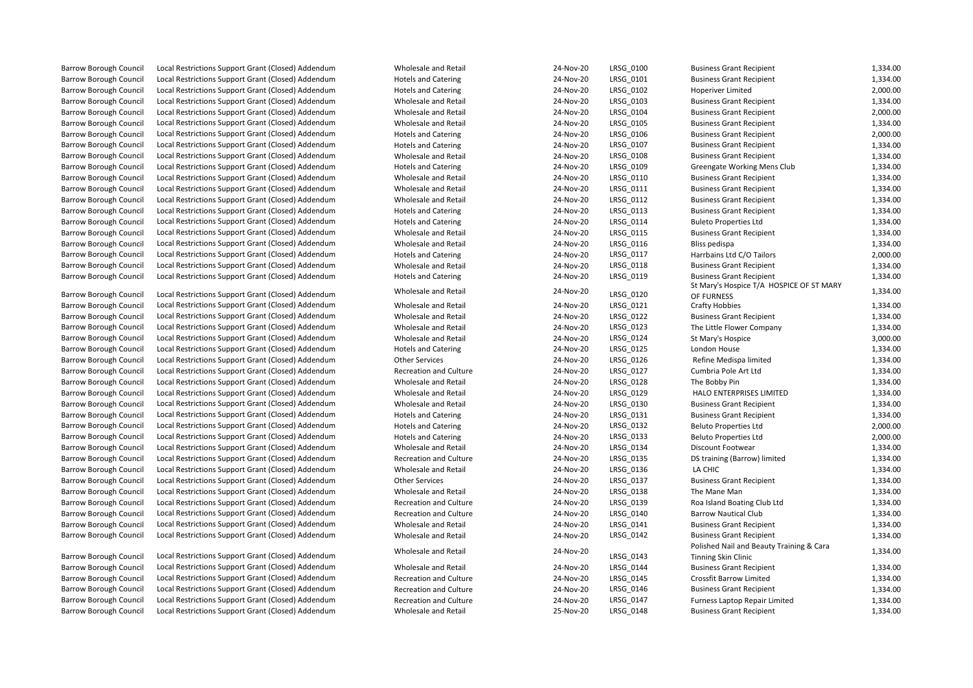Barrow Borough Council Local Restrictions Support Grant (Closed) Addendum Wholesale and Retail

Barrow Borough Council Local Restrictions Support Grant (Closed) Addendum Wholesale and Retail

| 24-Nov-20 | LRSG_0101 | <b>Business Gra</b> |
|-----------|-----------|---------------------|
| 24-Nov-20 | LRSG 0102 | Hoperiver Li        |
| 24-Nov-20 | LRSG 0103 | <b>Business Gra</b> |
| 24-Nov-20 | LRSG 0104 | <b>Business Gra</b> |
| 24-Nov-20 | LRSG 0105 | <b>Business Gra</b> |
| 24-Nov-20 | LRSG 0106 | <b>Business Gra</b> |
| 24-Nov-20 | LRSG 0107 | <b>Business Gra</b> |
| 24-Nov-20 | LRSG 0108 | <b>Business Gra</b> |
| 24-Nov-20 | LRSG 0109 | Greengate \         |
| 24-Nov-20 | LRSG 0110 | <b>Business Gra</b> |
| 24-Nov-20 | LRSG 0111 | <b>Business Gra</b> |
| 24-Nov-20 | LRSG 0112 | <b>Business Gra</b> |
| 24-Nov-20 | LRSG_0113 | <b>Business Gra</b> |
| 24-Nov-20 | LRSG_0114 | <b>Buleto Prop</b>  |
| 24-Nov-20 | LRSG 0115 | <b>Business Gra</b> |
| 24-Nov-20 | LRSG 0116 | <b>Bliss pedisp</b> |
| 24-Nov-20 | LRSG 0117 | <b>Harrbains Lt</b> |
| 24-Nov-20 | LRSG 0118 | <b>Business Gra</b> |
| 24-Nov-20 | LRSG 0119 | <b>Business Gra</b> |
| 24-Nov-20 |           | St Mary's Ho        |
|           | LRSG 0120 | OF FURNESS          |
| 24-Nov-20 | LRSG 0121 | Crafty Hobb         |
| 24-Nov-20 | LRSG 0122 | <b>Business Gra</b> |
| 24-Nov-20 | LRSG 0123 | The Little Fl       |
| 24-Nov-20 | LRSG 0124 | St Mary's Ho        |
| 24-Nov-20 | LRSG 0125 | London Hou          |
| 24-Nov-20 | LRSG 0126 | <b>Refine Med</b>   |
| 24-Nov-20 | LRSG 0127 | Cumbria Po          |
| 24-Nov-20 | LRSG 0128 | The Bobby F         |
| 24-Nov-20 | LRSG_0129 | <b>HALO ENTE</b>    |
| 24-Nov-20 | LRSG_0130 | <b>Business Gra</b> |
| 24-Nov-20 | LRSG_0131 | <b>Business Gra</b> |
| 24-Nov-20 | LRSG_0132 | <b>Beluto Prop</b>  |
| 24-Nov-20 | LRSG_0133 | <b>Beluto Prop</b>  |
| 24-Nov-20 | LRSG 0134 | Discount Fo         |
| 24-Nov-20 | LRSG_0135 | DS training         |
| 24-Nov-20 | LRSG_0136 | LA CHIC             |
| 24-Nov-20 | LRSG_0137 | <b>Business Gra</b> |
| 24-Nov-20 | LRSG_0138 | The Mane N          |
| 24-Nov-20 | LRSG_0139 | Roa Island B        |
| 24-Nov-20 | LRSG 0140 | <b>Barrow Nau</b>   |
| 24-Nov-20 | LRSG_0141 | <b>Business Gra</b> |
| 24-Nov-20 | LRSG_0142 | <b>Business Gra</b> |
| 24-Nov-20 |           | Polished Na         |
|           | LRSG_0143 | <b>Tinning Skin</b> |
| 24-Nov-20 | LRSG_0144 | <b>Business Gra</b> |
| 24-Nov-20 | LRSG_0145 | Crossfit Barı       |
| 24-Nov-20 | LRSG_0146 | <b>Business Gra</b> |
| 24-Nov-20 | LRSG_0147 | <b>Furness Lap</b>  |
| 25-Nov-20 | LRSG 0148 | <b>Business Gra</b> |

Barrow Borough Council Local Restrictions Support Grant (Closed) Addendum Wholesale and Retail 24-Nov-20 LRSG\_0100 Business Grant Recipient 1,334.00 Barrow Borough Council Local Restrictions Support Grant (Closed) Addendum Hotels and Catering 24-Nov-20 LRSG\_0101 Business Grant Recipient 1,334.00<br>Barrow Borough Council Local Restrictions Support Grant (Closed) Addendum Local Restrictions Support Grant (Closed) Addendum Hotels and Catering 24-Nov-20 LRSG\_0102 Hoperiver Limited 2,000.00 Barrow Borough Council Local Restrictions Support Grant (Closed) Addendum Wholesale and Retail 24-Nov-20 LRSG\_0103 Business Grant Recipient 1,334.00 Barrow Borough Council Local Restrictions Support Grant (Closed) Addendum Wholesale and Retail 24-Nov-20 LRSG\_0104 Business Grant Recipient 2,000.00 Barrow Borough Council Local Restrictions Support Grant (Closed) Addendum Wholesale and Retail 24-Nov-20 LRSG\_0105 Business Grant Recipient 1,334.00 Barrow Borough Council Local Restrictions Support Grant (Closed) Addendum Hotels and Catering 24-Nov-20 LRSG\_0106 Business Grant Recipient 2,000.00 Barrow Borough Council Local Restrictions Support Grant (Closed) Addendum Hotels and Catering 24-Nov-20 LRSG\_0107 Business Grant Recipient 1,334.00 Barrow Borough Council Local Restrictions Support Grant (Closed) Addendum Wholesale and Retail 24-Nov-20 1RSG\_0108 Business Grant Recipient 1,334.00 Barrow Borough Council Local Restrictions Support Grant (Closed) Addendum Hotels and Catering Hotels and Catering 24-Nov-20 LRSG 0109 Greengate Working Mens Club 1,334.00 Barrow Borough Council Local Restrictions Support Grant (Closed) Addendum Wholesale and Retail 24-Nov-20 LRSG 0110 Business Grant Recipient 1,334.00 Barrow Borough Council Local Restrictions Support Grant (Closed) Addendum Wholesale and Retail 24-Nov-20 LRSG 0111 Business Grant Recipient 1,334.00 Barrow Borough Council Local Restrictions Support Grant (Closed) Addendum Wholesale and Retail 24-Nov-20 LRSG 0112 Business Grant Recipient 1,334.00 Barrow Borough Council Local Restrictions Support Grant (Closed) Addendum Hotels and Catering 24-Nov-20 LRSG\_0113 Business Grant Recipient 1,334.00 Barrow Borough Council Local Restrictions Support Grant (Closed) Addendum Hotels and Catering 24-Nov-20 LRSG 0114 Buleto Properties Ltd 1,334.00 Barrow Borough Council Local Restrictions Support Grant (Closed) Addendum Wholesale and Retail 24-Nov-20 LRSG 0115 Business Grant Recipient 1,334.00 Barrow Borough Council Local Restrictions Support Grant (Closed) Addendum Wholesale and Retail 24-Nov-20 LRSG 0116 Bliss pedispa 1,334.00 Barrow Borough Council Local Restrictions Support Grant (Closed) Addendum Hotels and Catering 2,4-Nov-20 LRSG\_0117 Harrbains Ltd C/O Tailors 2,000.00 Barrow Borough Council Local Restrictions Support Grant (Closed) Addendum Wholesale and Retail 24-Nov-20 LRSG\_0118 Business Grant Recipient 1,334.00 Barrow Borough Council Local Restrictions Support Grant (Closed) Addendum Hotels and Catering 24-Nov-20 LRSG 0119 Business Grant Recipient 1,334.00 ospice T/A HOSPICE OF ST MARY OF FURNESS 1,334.00 Barrow Borough Council Local Restrictions Support Grant (Closed) Addendum Wholesale and Retail 24-Nov-20 LRSG\_0121 Crafty Hobbies 1,334.00 Barrow Borough Council Local Restrictions Support Grant (Closed) Addendum Wholesale and Retail 24-Nov-20 LRSG\_0122 Business Grant Recipient 1,334.00 Barrow Borough Council Local Restrictions Support Grant (Closed) Addendum Wholesale and Retail 24-Nov-20 LRSG 0123 The Little Flower Company 1,334.00 Barrow Borough Council Local Restrictions Support Grant (Closed) Addendum Wholesale and Retail 24-Nov-20 LRSG 0124 St Mary's Hospice 3,000.00 Barrow Borough Council Local Restrictions Support Grant (Closed) Addendum Hotels and Catering 24-Nov-20 LRSG\_0125 London House 1,334.00 Barrow Borough Council Local Restrictions Support Grant (Closed) Addendum Other Services 24-Nov-20 LRSG 0126 Refine Medispa limited 1,334.00 Barrow Borough Council Local Restrictions Support Grant (Closed) Addendum Recreation and Culture 24-Nov-20 LRSG\_0127 Cumbria Pole Art Ltd 1,334.00 Barrow Borough Council Local Restrictions Support Grant (Closed) Addendum Wholesale and Retail 24-Nov-20 LRSG 0128 The Bobby Pin 1,334.00 Barrow Borough Council Local Restrictions Support Grant (Closed) Addendum Wholesale and Retail 24-Nov-20 LRSG\_0129 HALO ENTERPRISES LIMITED 1,334.00 Barrow Borough Council Local Restrictions Support Grant (Closed) Addendum Wholesale and Retail 24-Nov-20 LRSG 0130 Business Grant Recipient 1,334.00 Barrow Borough Council Local Restrictions Support Grant (Closed) Addendum Hotels and Catering Hotels and Catering 24-Nov-20 LRSG 0131 Business Grant Recipient 1,334.00 Barrow Borough Council Local Restrictions Support Grant (Closed) Addendum Hotels and Catering 24-Nov-20 LRSG 0132 Beluto Properties Ltd 2,000.00 Barrow Borough Council Local Restrictions Support Grant (Closed) Addendum Hotels and Catering 24-Nov-20 LRSG\_0133 Beluto Properties Ltd 2,000.00 Barrow Borough Council Local Restrictions Support Grant (Closed) Addendum Wholesale and Retail 24-Nov-20 LRSG 0134 Discount Footwear 1,334.00 Barrow Borough Council Local Restrictions Support Grant (Closed) Addendum Recreation and Culture 24-Nov-20 LRSG\_0135 DS training (Barrow) limited 1,334.00 Barrow Borough Council Local Restrictions Support Grant (Closed) Addendum Wholesale and Retail 24-Nov-20 LRSG\_0136 LA CHIC LA CHIC 1,334.00 Barrow Borough Council Local Restrictions Support Grant (Closed) Addendum Other Services 24-Nov-20 LRSG\_0137 Business Grant Recipient 1,334.00 Barrow Borough Council Local Restrictions Support Grant (Closed) Addendum Wholesale and Retail 24-Nov-20 LRSG 0138 The Mane Man 1,334.00 Barrow Borough Council Local Restrictions Support Grant (Closed) Addendum Recreation and Culture 24-Nov-20 LRSG\_0139 Roa Island Boating Club Ltd 1,334.00 Barrow Borough Council Local Restrictions Support Grant (Closed) Addendum Recreation and Culture 24-Nov-20 LRSG\_0140 Barrow Nautical Club 1,334.00 Barrow Borough Council Local Restrictions Support Grant (Closed) Addendum Wholesale and Retail 24-Nov-20 LRSG\_0141 Business Grant Recipient 1,334.00 Barrow Borough Council Local Restrictions Support Grant (Closed) Addendum Wholesale and Retail 24-Nov-20 LRSG\_0142 Business Grant Recipient 1,334.00 ail and Beauty Training & Cara Tinning Skin Clinic 1,334.00 Barrow Borough Council Local Restrictions Support Grant (Closed) Addendum Wholesale and Retail 24-Nov-20 LRSG 0144 Business Grant Recipient 1,334.00 Barrow Borough Council Local Restrictions Support Grant (Closed) Addendum Recreation and Culture 24-Nov-20 LRSG\_0145 Crossfit Barrow Limited 1,334.00 Barrow Borough Council Local Restrictions Support Grant (Closed) Addendum Recreation and Culture 24-Nov-20 LRSG\_0146 Business Grant Recipient 1,334.00 Barrow Borough Council Local Restrictions Support Grant (Closed) Addendum Recreation and Culture 24-Nov-20 LRSG 0147 Furness Laptop Repair Limited 1,334.00 Barrow Borough Council Local Restrictions Support Grant (Closed) Addendum Wholesale and Retail 25-Nov-20 LRSG 0148 Business Grant Recipient 1,334.00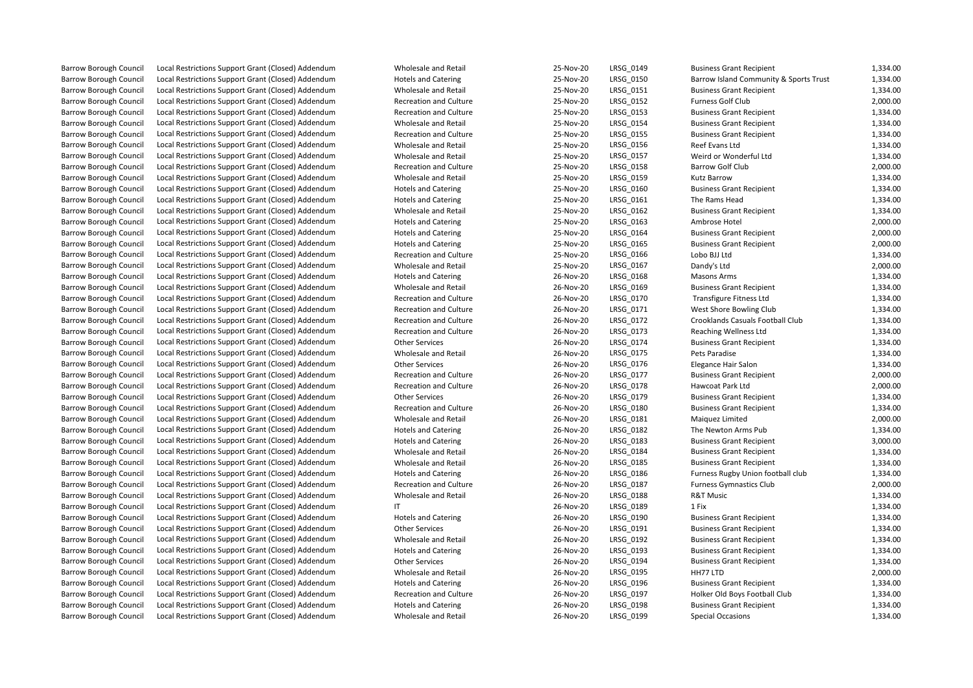| <b>Barrow Borough Council</b>                                  | Local Restrictions Support Grant (Closed) Addendum | Wholesale and Retail                               | 25-Nov-20 | LRSG 0149 | <b>Business Grant Recipient</b>                                    | 1,334.00 |
|----------------------------------------------------------------|----------------------------------------------------|----------------------------------------------------|-----------|-----------|--------------------------------------------------------------------|----------|
| <b>Barrow Borough Council</b>                                  | Local Restrictions Support Grant (Closed) Addendum | <b>Hotels and Catering</b>                         | 25-Nov-20 | LRSG 0150 | Barrow Island Community & Sports Trust                             | 1,334.00 |
| <b>Barrow Borough Council</b>                                  | Local Restrictions Support Grant (Closed) Addendum | Wholesale and Retail                               | 25-Nov-20 | LRSG 0151 | <b>Business Grant Recipient</b>                                    | 1,334.00 |
| <b>Barrow Borough Council</b>                                  | Local Restrictions Support Grant (Closed) Addendum | <b>Recreation and Culture</b>                      | 25-Nov-20 | LRSG 0152 | Furness Golf Club                                                  | 2,000.00 |
| <b>Barrow Borough Council</b>                                  | Local Restrictions Support Grant (Closed) Addendum | <b>Recreation and Culture</b>                      | 25-Nov-20 | LRSG_0153 | <b>Business Grant Recipient</b>                                    | 1,334.00 |
| <b>Barrow Borough Council</b>                                  | Local Restrictions Support Grant (Closed) Addendum | Wholesale and Retail                               | 25-Nov-20 | LRSG 0154 | <b>Business Grant Recipient</b>                                    | 1,334.00 |
| <b>Barrow Borough Council</b>                                  | Local Restrictions Support Grant (Closed) Addendum | <b>Recreation and Culture</b>                      | 25-Nov-20 | LRSG 0155 | <b>Business Grant Recipient</b>                                    | 1,334.00 |
| <b>Barrow Borough Council</b>                                  | Local Restrictions Support Grant (Closed) Addendum | Wholesale and Retail                               | 25-Nov-20 | LRSG_0156 | Reef Evans Ltd                                                     | 1,334.00 |
| <b>Barrow Borough Council</b>                                  | Local Restrictions Support Grant (Closed) Addendum | Wholesale and Retail                               | 25-Nov-20 | LRSG 0157 | Weird or Wonderful Ltd                                             | 1,334.00 |
| <b>Barrow Borough Council</b>                                  | Local Restrictions Support Grant (Closed) Addendum | <b>Recreation and Culture</b>                      | 25-Nov-20 | LRSG 0158 | Barrow Golf Club                                                   | 2,000.00 |
| <b>Barrow Borough Council</b>                                  | Local Restrictions Support Grant (Closed) Addendum | Wholesale and Retail                               | 25-Nov-20 | LRSG_0159 | <b>Kutz Barrow</b>                                                 | 1,334.00 |
| <b>Barrow Borough Council</b>                                  | Local Restrictions Support Grant (Closed) Addendum | <b>Hotels and Catering</b>                         | 25-Nov-20 | LRSG_0160 | <b>Business Grant Recipient</b>                                    | 1,334.00 |
| <b>Barrow Borough Council</b>                                  | Local Restrictions Support Grant (Closed) Addendum | <b>Hotels and Catering</b>                         | 25-Nov-20 | LRSG 0161 | The Rams Head                                                      | 1,334.00 |
| <b>Barrow Borough Council</b>                                  | Local Restrictions Support Grant (Closed) Addendum | Wholesale and Retail                               | 25-Nov-20 | LRSG 0162 | <b>Business Grant Recipient</b>                                    | 1,334.00 |
| <b>Barrow Borough Council</b>                                  | Local Restrictions Support Grant (Closed) Addendum | <b>Hotels and Catering</b>                         | 25-Nov-20 | LRSG_0163 | Ambrose Hotel                                                      | 2,000.00 |
| <b>Barrow Borough Council</b>                                  | Local Restrictions Support Grant (Closed) Addendum | <b>Hotels and Catering</b>                         | 25-Nov-20 | LRSG_0164 | <b>Business Grant Recipient</b>                                    | 2,000.00 |
| <b>Barrow Borough Council</b>                                  | Local Restrictions Support Grant (Closed) Addendum | <b>Hotels and Catering</b>                         | 25-Nov-20 | LRSG_0165 | <b>Business Grant Recipient</b>                                    | 2,000.00 |
| <b>Barrow Borough Council</b>                                  | Local Restrictions Support Grant (Closed) Addendum | <b>Recreation and Culture</b>                      | 25-Nov-20 | LRSG_0166 | Lobo BJJ Ltd                                                       | 1,334.00 |
| <b>Barrow Borough Council</b>                                  | Local Restrictions Support Grant (Closed) Addendum | Wholesale and Retail                               | 25-Nov-20 | LRSG_0167 | Dandy's Ltd                                                        | 2,000.00 |
| <b>Barrow Borough Council</b>                                  | Local Restrictions Support Grant (Closed) Addendum | <b>Hotels and Catering</b>                         | 26-Nov-20 | LRSG_0168 | <b>Masons Arms</b>                                                 | 1,334.00 |
| <b>Barrow Borough Council</b>                                  | Local Restrictions Support Grant (Closed) Addendum | Wholesale and Retail                               | 26-Nov-20 | LRSG_0169 | <b>Business Grant Recipient</b>                                    | 1,334.00 |
| <b>Barrow Borough Council</b>                                  | Local Restrictions Support Grant (Closed) Addendum | Recreation and Culture                             | 26-Nov-20 | LRSG_0170 | <b>Transfigure Fitness Ltd</b>                                     | 1,334.00 |
| <b>Barrow Borough Council</b>                                  | Local Restrictions Support Grant (Closed) Addendum | <b>Recreation and Culture</b>                      | 26-Nov-20 | LRSG_0171 | West Shore Bowling Club                                            | 1,334.00 |
| <b>Barrow Borough Council</b>                                  | Local Restrictions Support Grant (Closed) Addendum | <b>Recreation and Culture</b>                      | 26-Nov-20 | LRSG_0172 | Crooklands Casuals Football Club                                   | 1,334.00 |
| <b>Barrow Borough Council</b>                                  | Local Restrictions Support Grant (Closed) Addendum | <b>Recreation and Culture</b>                      | 26-Nov-20 | LRSG_0173 | Reaching Wellness Ltd                                              | 1,334.00 |
| <b>Barrow Borough Council</b>                                  | Local Restrictions Support Grant (Closed) Addendum | <b>Other Services</b>                              | 26-Nov-20 | LRSG 0174 | <b>Business Grant Recipient</b>                                    | 1,334.00 |
| <b>Barrow Borough Council</b>                                  | Local Restrictions Support Grant (Closed) Addendum | Wholesale and Retail                               | 26-Nov-20 | LRSG_0175 | Pets Paradise                                                      | 1,334.00 |
| <b>Barrow Borough Council</b>                                  | Local Restrictions Support Grant (Closed) Addendum | <b>Other Services</b>                              | 26-Nov-20 | LRSG_0176 | Elegance Hair Salon                                                | 1,334.00 |
| <b>Barrow Borough Council</b>                                  | Local Restrictions Support Grant (Closed) Addendum | <b>Recreation and Culture</b>                      | 26-Nov-20 | LRSG_0177 | <b>Business Grant Recipient</b>                                    | 2,000.00 |
| <b>Barrow Borough Council</b>                                  | Local Restrictions Support Grant (Closed) Addendum | <b>Recreation and Culture</b>                      | 26-Nov-20 | LRSG_0178 | Hawcoat Park Ltd                                                   | 2,000.00 |
| <b>Barrow Borough Council</b>                                  | Local Restrictions Support Grant (Closed) Addendum | <b>Other Services</b>                              | 26-Nov-20 | LRSG_0179 | <b>Business Grant Recipient</b>                                    | 1,334.00 |
| <b>Barrow Borough Council</b>                                  | Local Restrictions Support Grant (Closed) Addendum | <b>Recreation and Culture</b>                      | 26-Nov-20 | LRSG_0180 | <b>Business Grant Recipient</b>                                    | 1,334.00 |
| <b>Barrow Borough Council</b>                                  | Local Restrictions Support Grant (Closed) Addendum | Wholesale and Retail                               | 26-Nov-20 | LRSG_0181 | Maiquez Limited                                                    | 2,000.00 |
| <b>Barrow Borough Council</b>                                  | Local Restrictions Support Grant (Closed) Addendum |                                                    | 26-Nov-20 | LRSG_0182 | The Newton Arms Pub                                                | 1,334.00 |
|                                                                | Local Restrictions Support Grant (Closed) Addendum | <b>Hotels and Catering</b>                         | 26-Nov-20 | LRSG_0183 |                                                                    | 3,000.00 |
| <b>Barrow Borough Council</b><br><b>Barrow Borough Council</b> | Local Restrictions Support Grant (Closed) Addendum | <b>Hotels and Catering</b><br>Wholesale and Retail | 26-Nov-20 | LRSG 0184 | <b>Business Grant Recipient</b><br><b>Business Grant Recipient</b> | 1,334.00 |
| <b>Barrow Borough Council</b>                                  | Local Restrictions Support Grant (Closed) Addendum | Wholesale and Retail                               | 26-Nov-20 |           |                                                                    | 1,334.00 |
|                                                                |                                                    |                                                    | 26-Nov-20 | LRSG_0185 | <b>Business Grant Recipient</b>                                    | 1,334.00 |
| <b>Barrow Borough Council</b>                                  | Local Restrictions Support Grant (Closed) Addendum | <b>Hotels and Catering</b>                         |           | LRSG 0186 | Furness Rugby Union football club                                  |          |
| <b>Barrow Borough Council</b>                                  | Local Restrictions Support Grant (Closed) Addendum | <b>Recreation and Culture</b>                      | 26-Nov-20 | LRSG 0187 | <b>Furness Gymnastics Club</b>                                     | 2,000.00 |
| <b>Barrow Borough Council</b>                                  | Local Restrictions Support Grant (Closed) Addendum | Wholesale and Retail                               | 26-Nov-20 | LRSG 0188 | <b>R&amp;T Music</b>                                               | 1,334.00 |
| <b>Barrow Borough Council</b>                                  | Local Restrictions Support Grant (Closed) Addendum | IT                                                 | 26-Nov-20 | LRSG 0189 | 1 Fix                                                              | 1,334.00 |
| <b>Barrow Borough Council</b>                                  | Local Restrictions Support Grant (Closed) Addendum | <b>Hotels and Catering</b>                         | 26-Nov-20 | LRSG 0190 | <b>Business Grant Recipient</b>                                    | 1,334.00 |
| <b>Barrow Borough Council</b>                                  | Local Restrictions Support Grant (Closed) Addendum | <b>Other Services</b>                              | 26-Nov-20 | LRSG_0191 | <b>Business Grant Recipient</b>                                    | 1,334.00 |
| <b>Barrow Borough Council</b>                                  | Local Restrictions Support Grant (Closed) Addendum | Wholesale and Retail                               | 26-Nov-20 | LRSG 0192 | <b>Business Grant Recipient</b>                                    | 1,334.00 |
| <b>Barrow Borough Council</b>                                  | Local Restrictions Support Grant (Closed) Addendum | <b>Hotels and Catering</b>                         | 26-Nov-20 | LRSG 0193 | <b>Business Grant Recipient</b>                                    | 1,334.00 |
| <b>Barrow Borough Council</b>                                  | Local Restrictions Support Grant (Closed) Addendum | <b>Other Services</b>                              | 26-Nov-20 | LRSG_0194 | <b>Business Grant Recipient</b>                                    | 1,334.00 |
| <b>Barrow Borough Council</b>                                  | Local Restrictions Support Grant (Closed) Addendum | Wholesale and Retail                               | 26-Nov-20 | LRSG 0195 | HH77 LTD                                                           | 2,000.00 |
| <b>Barrow Borough Council</b>                                  | Local Restrictions Support Grant (Closed) Addendum | <b>Hotels and Catering</b>                         | 26-Nov-20 | LRSG 0196 | <b>Business Grant Recipient</b>                                    | 1,334.00 |
| <b>Barrow Borough Council</b>                                  | Local Restrictions Support Grant (Closed) Addendum | <b>Recreation and Culture</b>                      | 26-Nov-20 | LRSG 0197 | Holker Old Boys Football Club                                      | 1,334.00 |
| <b>Barrow Borough Council</b>                                  | Local Restrictions Support Grant (Closed) Addendum | <b>Hotels and Catering</b>                         | 26-Nov-20 | LRSG 0198 | <b>Business Grant Recipient</b>                                    | 1,334.00 |
| <b>Barrow Borough Council</b>                                  | Local Restrictions Support Grant (Closed) Addendum | Wholesale and Retail                               | 26-Nov-20 | LRSG 0199 | <b>Special Occasions</b>                                           | 1,334.00 |
|                                                                |                                                    |                                                    |           |           |                                                                    |          |